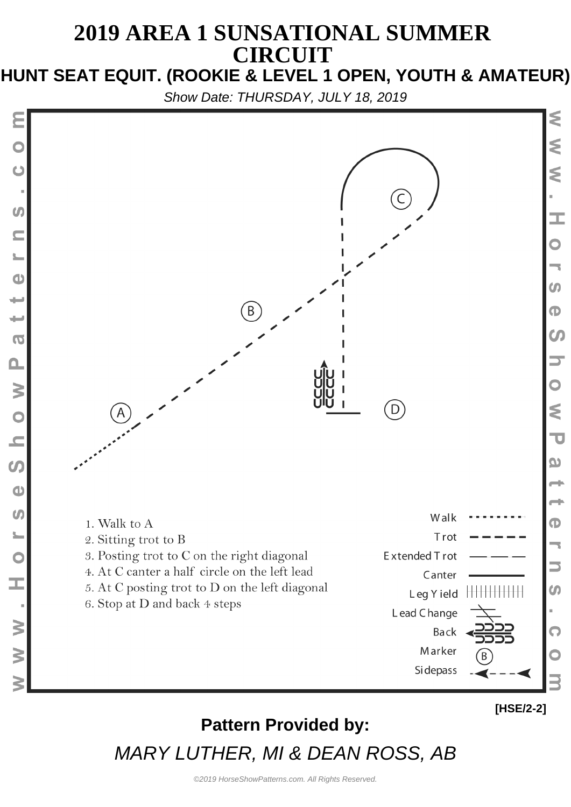# **2019 AREA 1 SUNSATIONAL SUMMER CIRCUIT**

#### **HUNT SEAT EQUIT. (ROOKIE & LEVEL 1 OPEN, YOUTH & AMATEUR)**

Show Date: THURSDAY, JULY 18, 2019

 $\boldsymbol{U}$ 

 $\bullet$ 

د د

 $\overline{\phantom{0}}$ 

 $\overline{O}$ 

 $\mathbf{\Omega}$ 

 $\geq$ 

 $\overline{O}$ 

 $\overline{\phantom{a}}$ 

 $\boldsymbol{\omega}$ 

 $\bullet$ 

 $\boldsymbol{\omega}$ 

 $\overline{\mathbf{C}}$ 

Œ,

 $\geq$ 

 $\geq$ 



## **Pattern Provided by:** MARY LUTHER, MI & DEAN ROSS, AB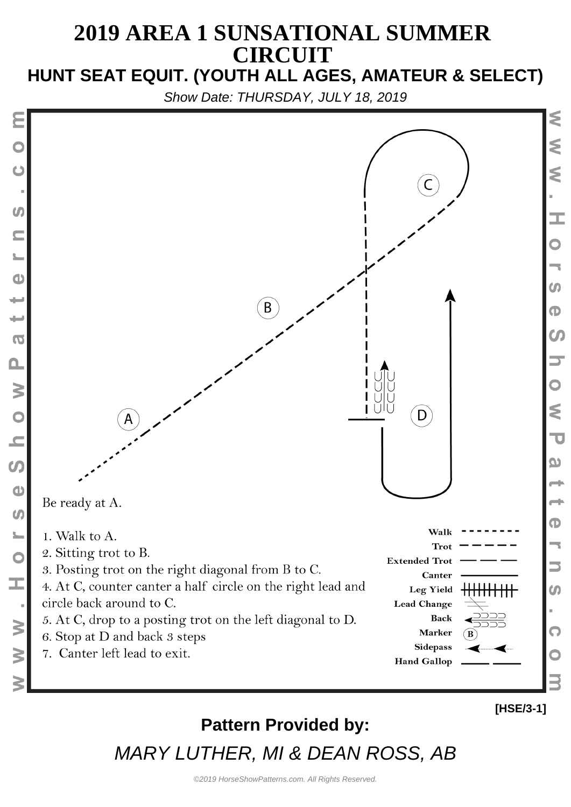# **2019 AREA 1 SUNSATIONAL SUMMER CIRCUIT**

### **HUNT SEAT EQUIT. (YOUTH ALL AGES, AMATEUR & SELECT)**

Show Date: THURSDAY, JULY 18, 2019



## **Pattern Provided by:**

MARY LUTHER, MI & DEAN ROSS, AB

**[HSE/3-1]**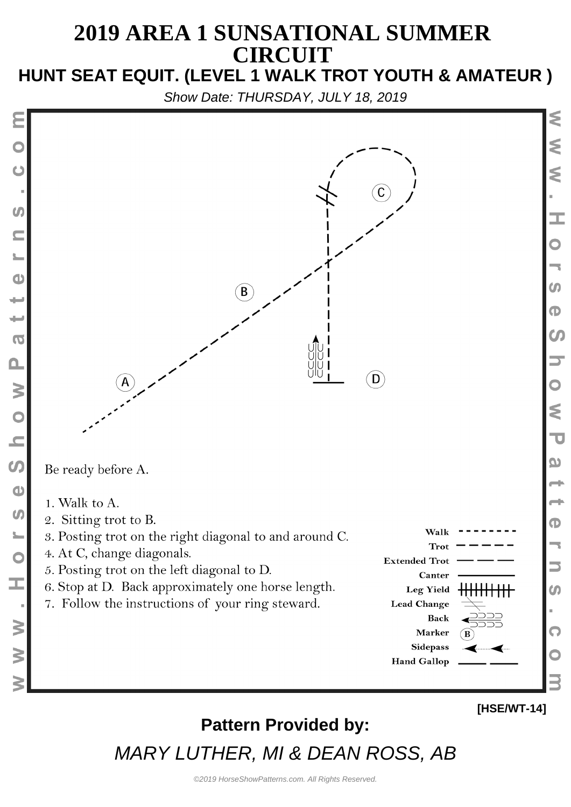#### **2019 AREA 1 SUNSATIONAL SUMMER CIRCUIT HUNT SEAT EQUIT. (LEVEL 1 WALK TROT YOUTH & AMATEUR )**

Show Date: THURSDAY, JULY 18, 2019

C  $\mathbf{B}$ D) Be ready before A. 1. Walk to A. 2. Sitting trot to B. Walk 3. Posting trot on the right diagonal to and around C. Trot 4. At C, change diagonals. **Extended Trot** 5. Posting trot on the left diagonal to D. Canter 6. Stop at D. Back approximately one horse length. **Leg Yield** ┢╋╋╋╈╈╈╋╋ 7. Follow the instructions of your ring steward. **Lead Change Back** Marker **Sidepass** 

 $\bm{u}$ 

 $\mathbf{d}$ 

 $\overline{\mathbf{C}}$ 

 $\mathbf{\Omega}$ 

 $\geq$ 

 $\overline{O}$ 

 $\overline{\phantom{0}}$ 

 $\bullet$ 

 $\bullet$ 

 $\boldsymbol{\omega}$ 

 $\mathbf C$ 

I

 $\geq$ 

3

**Hand Gallop** 

# m  $\mathbf \Phi$  $\boldsymbol{\omega}$ ₹  $\overline{\mathbf{U}}$ യ መ  $\boldsymbol{\omega}$

⋚

⋚

I

## **Pattern Provided by:**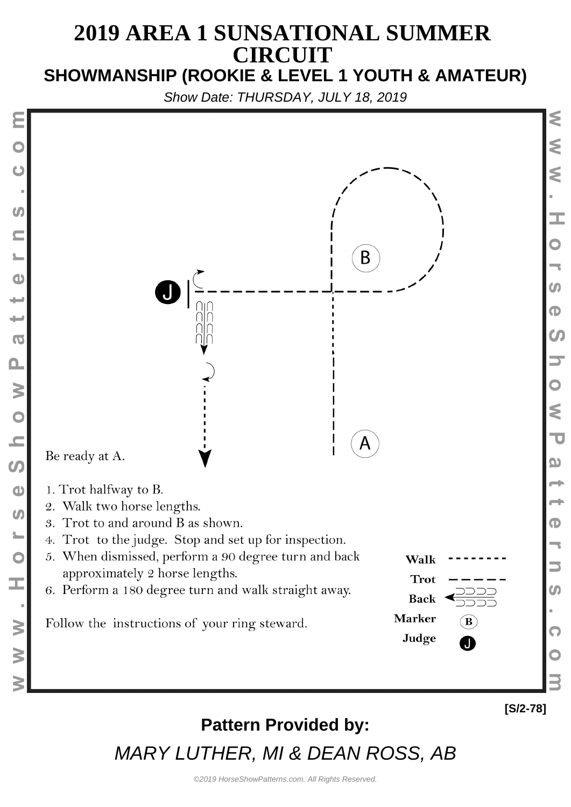#### **2019 AREA 1 SUNSATIONAL SUMMER CIRCUIT SHOWMANSHIP (ROOKIE & LEVEL 1 YOUTH & AMATEUR)**

Show Date: THURSDAY, JULY 18, 2019



⋚

⋚

I.

m

 $\mathbf \Phi$ 

 $\boldsymbol{\omega}$ 

₹

 $\overline{\mathbf{C}}$ 

യ

Œ

 $\boldsymbol{\omega}$ 

Q

#### **Pattern Provided by:**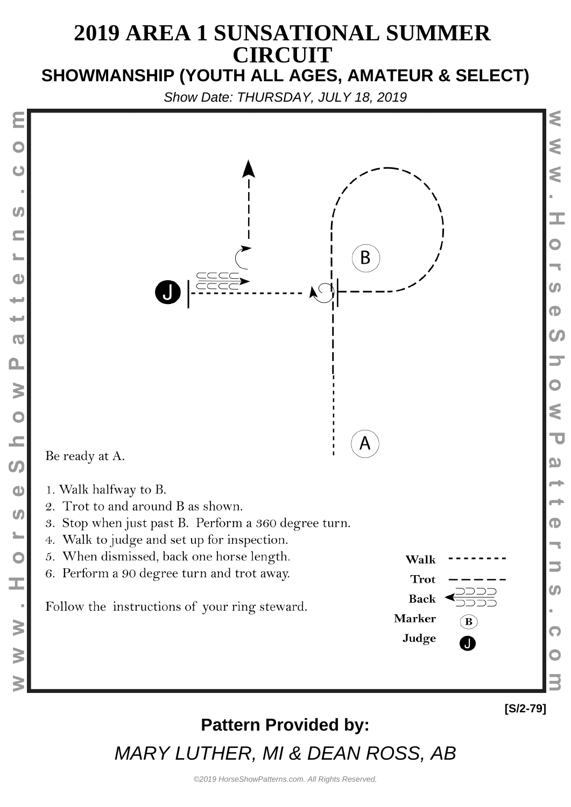#### **2019 AREA 1 SUNSATIONAL SUMMER CIRCUIT SHOWMANSHIP (YOUTH ALL AGES, AMATEUR & SELECT)**

Show Date: THURSDAY, JULY 18, 2019



## **Pattern Provided by:**

MARY LUTHER, MI & DEAN ROSS, AB

**[S/2-79]**

⋚

€

Ś

I.

₹

 $\overline{\mathbf{U}}$ 

യ

 $\bf \Phi$ 

Q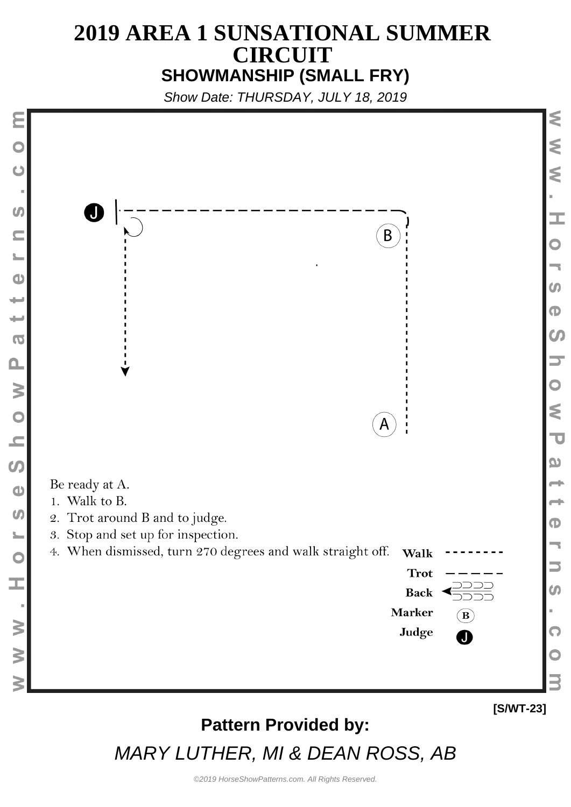#### **2019 AREA 1 SUNSATIONAL SUMMER CIRCUIT SHOWMANSHIP (SMALL FRY)**

Show Date: THURSDAY, JULY 18, 2019



MARY LUTHER, MI & DEAN ROSS, AB

**[S/WT-23]**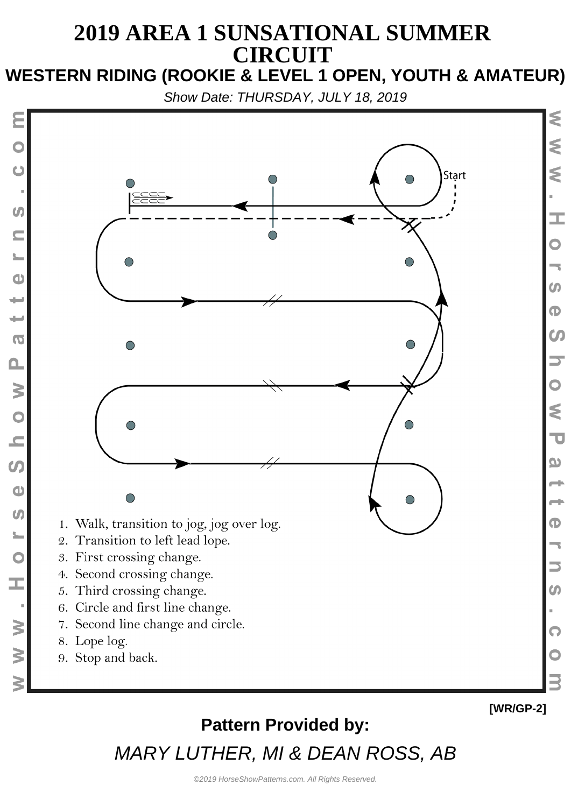# **2019 AREA 1 SUNSATIONAL SUMMER CIRCUIT**

**WESTERN RIDING (ROOKIE & LEVEL 1 OPEN, YOUTH & AMATEUR)**

Show Date: THURSDAY, JULY 18, 2019



#### **Pattern Provided by:**